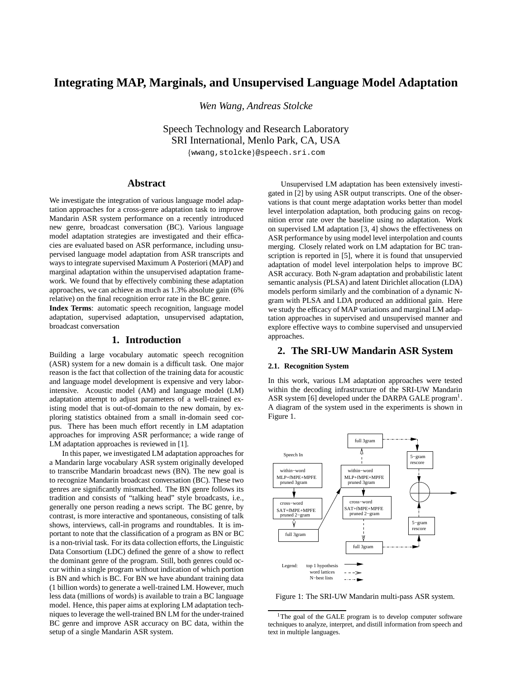# **Integrating MAP, Marginals, and Unsupervised Language Model Adaptation**

*Wen Wang, Andreas Stolcke*

Speech Technology and Research Laboratory SRI International, Menlo Park, CA, USA

{wwang,stolcke}@speech.sri.com

# **Abstract**

We investigate the integration of various language model adaptation approaches for a cross-genre adaptation task to improve Mandarin ASR system performance on a recently introduced new genre, broadcast conversation (BC). Various language model adaptation strategies are investigated and their efficacies are evaluated based on ASR performance, including unsupervised language model adaptation from ASR transcripts and ways to integrate supervised Maximum A Posteriori (MAP) and marginal adaptation within the unsupervised adaptation framework. We found that by effectively combining these adaptation approaches, we can achieve as much as 1.3% absolute gain (6% relative) on the final recognition error rate in the BC genre.

**Index Terms**: automatic speech recognition, language model adaptation, supervised adaptation, unsupervised adaptation, broadcast conversation

# **1. Introduction**

Building a large vocabulary automatic speech recognition (ASR) system for a new domain is a difficult task. One major reason is the fact that collection of the training data for acoustic and language model development is expensive and very laborintensive. Acoustic model (AM) and language model (LM) adaptation attempt to adjust parameters of a well-trained existing model that is out-of-domain to the new domain, by exploring statistics obtained from a small in-domain seed corpus. There has been much effort recently in LM adaptation approaches for improving ASR performance; a wide range of LM adaptation approaches is reviewed in [1].

In this paper, we investigated LM adaptation approaches for a Mandarin large vocabulary ASR system originally developed to transcribe Mandarin broadcast news (BN). The new goal is to recognize Mandarin broadcast conversation (BC). These two genres are significantly mismatched. The BN genre follows its tradition and consists of "talking head" style broadcasts, i.e., generally one person reading a news script. The BC genre, by contrast, is more interactive and spontaneous, consisting of talk shows, interviews, call-in programs and roundtables. It is important to note that the classification of a program as BN or BC is a non-trivial task. For its data collection efforts, the Linguistic Data Consortium (LDC) defined the genre of a show to reflect the dominant genre of the program. Still, both genres could occur within a single program without indication of which portion is BN and which is BC. For BN we have abundant training data (1 billion words) to generate a well-trained LM. However, much less data (millions of words) is available to train a BC language model. Hence, this paper aims at exploring LM adaptation techniques to leverage the well-trained BN LM for the under-trained BC genre and improve ASR accuracy on BC data, within the setup of a single Mandarin ASR system.

Unsupervised LM adaptation has been extensively investigated in [2] by using ASR output transcripts. One of the observations is that count merge adaptation works better than model level interpolation adaptation, both producing gains on recognition error rate over the baseline using no adaptation. Work on supervised LM adaptation [3, 4] shows the effectiveness on ASR performance by using model level interpolation and counts merging. Closely related work on LM adaptation for BC transcription is reported in [5], where it is found that unsupervied adaptation of model level interpolation helps to improve BC ASR accuracy. Both N-gram adaptation and probabilistic latent semantic analysis (PLSA) and latent Dirichlet allocation (LDA) models perform similarly and the combination of a dynamic Ngram with PLSA and LDA produced an additional gain. Here we study the efficacy of MAP variations and marginal LM adaptation approaches in supervised and unsupervised manner and explore effective ways to combine supervised and unsupervied approaches.

# **2. The SRI-UW Mandarin ASR System**

### **2.1. Recognition System**

In this work, various LM adaptation approaches were tested within the decoding infrastructure of the SRI-UW Mandarin ASR system [6] developed under the DARPA GALE program<sup>1</sup>. A diagram of the system used in the experiments is shown in Figure 1.



Figure 1: The SRI-UW Mandarin multi-pass ASR system.

<sup>&</sup>lt;sup>1</sup>The goal of the GALE program is to develop computer software techniques to analyze, interpret, and distill information from speech and text in multiple languages.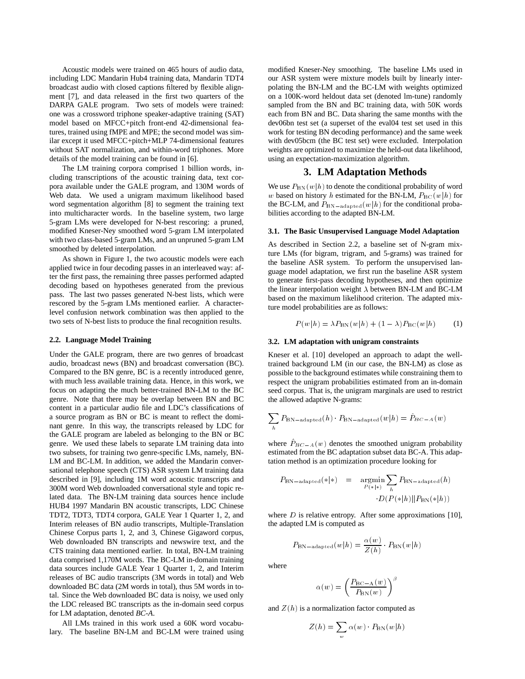Acoustic models were trained on 465 hours of audio data, including LDC Mandarin Hub4 training data, Mandarin TDT4 broadcast audio with closed captions filtered by flexible alignment [7], and data released in the first two quarters of the DARPA GALE program. Two sets of models were trained: one was a crossword triphone speaker-adaptive training (SAT) model based on MFCC+pitch front-end 42-dimensional features, trained using fMPE and MPE; the second model was similar except it used MFCC+pitch+MLP 74-dimensional features without SAT normalization, and within-word triphones. More details of the model training can be found in [6].

The LM training corpora comprised 1 billion words, including transcriptions of the acoustic training data, text corpora available under the GALE program, and 130M words of Web data. We used a unigram maximum likelihood based word segmentation algorithm [8] to segment the training text into multicharacter words. In the baseline system, two large 5-gram LMs were developed for N-best rescoring: a pruned, modified Kneser-Ney smoothed word 5-gram LM interpolated with two class-based 5-gram LMs, and an unpruned 5-gram LM smoothed by deleted interpolation.

As shown in Figure 1, the two acoustic models were each applied twice in four decoding passes in an interleaved way: after the first pass, the remaining three passes performed adapted decoding based on hypotheses generated from the previous pass. The last two passes generated N-best lists, which were rescored by the 5-gram LMs mentioned earlier. A characterlevel confusion network combination was then applied to the two sets of N-best lists to produce the final recognition results.

#### **2.2. Language Model Training**

Under the GALE program, there are two genres of broadcast audio, broadcast news (BN) and broadcast conversation (BC). Compared to the BN genre, BC is a recently introduced genre, with much less available training data. Hence, in this work, we focus on adapting the much better-trained BN-LM to the BC genre. Note that there may be overlap between BN and BC content in a particular audio file and LDC's classifications of a source program as BN or BC is meant to reflect the dominant genre. In this way, the transcripts released by LDC for the GALE program are labeled as belonging to the BN or BC genre. We used these labels to separate LM training data into two subsets, for training two genre-specific LMs, namely, BN-LM and BC-LM. In addition, we added the Mandarin conversational telephone speech (CTS) ASR system LM training data described in [9], including 1M word acoustic transcripts and 300M word Web downloaded conversational style and topic related data. The BN-LM training data sources hence include HUB4 1997 Mandarin BN acoustic transcripts, LDC Chinese TDT2, TDT3, TDT4 corpora, GALE Year 1 Quarter 1, 2, and Interim releases of BN audio transcripts, Multiple-Translation Chinese Corpus parts 1, 2, and 3, Chinese Gigaword corpus, Web downloaded BN transcripts and newswire text, and the CTS training data mentioned earlier. In total, BN-LM training data comprised 1,170M words. The BC-LM in-domain training data sources include GALE Year 1 Quarter 1, 2, and Interim releases of BC audio transcripts (3M words in total) and Web downloaded BC data (2M words in total), thus 5M words in total. Since the Web downloaded BC data is noisy, we used only the LDC released BC transcripts as the in-domain seed corpus for LM adaptation, denoted *BC-A*.

All LMs trained in this work used a 60K word vocabulary. The baseline BN-LM and BC-LM were trained using modified Kneser-Ney smoothing. The baseline LMs used in our ASR system were mixture models built by linearly interpolating the BN-LM and the BC-LM with weights optimized on a 100K-word heldout data set (denoted lm-tune) randomly sampled from the BN and BC training data, with 50K words each from BN and BC. Data sharing the same months with the dev06bn test set (a superset of the eval04 test set used in this work for testing BN decoding performance) and the same week with dev05bcm (the BC test set) were excluded. Interpolation weights are optimized to maximize the held-out data likelihood, using an expectation-maximization algorithm.

# **3. LM Adaptation Methods**

We use  $P_{BN}(w|h)$  to denote the conditional probability of word w based on history h estimated for the BN-LM,  $P_{\text{BC}}(w|h)$  for the BC-LM, and  $P_{BN-adapted}(w|h)$  for the conditional probabilities according to the adapted BN-LM.

### **3.1. The Basic Unsupervised Language Model Adaptation**

As described in Section 2.2, a baseline set of N-gram mixture LMs (for bigram, trigram, and 5-grams) was trained for the baseline ASR system. To perform the unsupervised language model adaptation, we first run the baseline ASR system to generate first-pass decoding hypotheses, and then optimize the linear interpolation weight  $\lambda$  between BN-LM and BC-LM based on the maximum likelihood criterion. The adapted mixture model probabilities are as follows:

$$
P(w|h) = \lambda P_{\text{BN}}(w|h) + (1 - \lambda)P_{\text{BC}}(w|h)
$$
 (1)

#### **3.2. LM adaptation with unigram constraints**

Kneser et al. [10] developed an approach to adapt the welltrained background LM (in our case, the BN-LM) as close as possible to the background estimates while constraining them to respect the unigram probabilities estimated from an in-domain seed corpus. That is, the unigram marginals are used to restrict the allowed adaptive N-grams:

$$
\sum_h P_{\rm BN-adapted}(h) \cdot P_{\rm BN-adapted}(w|h) = \hat{P}_{BC-A}(w)
$$

where  $P_{BC-A}(w)$  denotes the smoothed unigram probability estimated from the BC adaptation subset data BC-A. This adaptation method is an optimization procedure looking for

$$
P_{\text{BN-adapted}}(*|*) = \underset{P(*|*)}{\operatorname{argmin}} \sum_{h} P_{\text{BN-adapted}}(h)
$$

$$
\cdot D(P(*|h)||P_{\text{BN}}(*|h))
$$

where  $D$  is relative entropy. After some approximations [10], the adapted LM is computed as

$$
P_{\rm BN-adapted}(w|h) = \frac{\alpha(w)}{Z(h)} \cdot P_{\rm BN}(w|h)
$$

where

$$
\alpha(w)=\left(\frac{P_{\rm BC-A}(w)}{P_{\rm BN}(w)}\right)^{\beta}
$$

and  $Z(h)$  is a normalization factor computed as

$$
Z(h) = \sum_w \alpha(w) \cdot P_{\rm BN}(w|h)
$$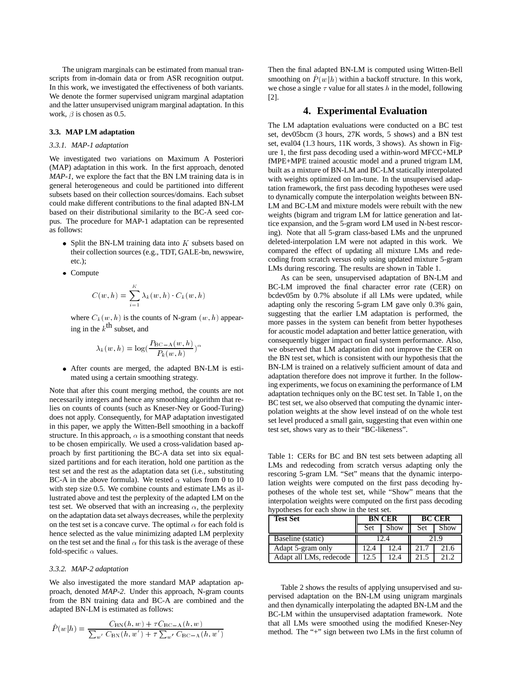The unigram marginals can be estimated from manual transcripts from in-domain data or from ASR recognition output. In this work, we investigated the effectiveness of both variants. We denote the former supervised unigram marginal adaptation and the latter unsupervised unigram marginal adaptation. In this work,  $\beta$  is chosen as 0.5.

## **3.3. MAP LM adaptation**

### *3.3.1. MAP-1 adaptation*

We investigated two variations on Maximum A Posteriori (MAP) adaptation in this work. In the first approach, denoted *MAP-1*, we explore the fact that the BN LM training data is in general heterogeneous and could be partitioned into different subsets based on their collection sources/domains. Each subset could make different contributions to the final adapted BN-LM based on their distributional similarity to the BC-A seed corpus. The procedure for MAP-1 adaptation can be represented as follows:

- Split the BN-LM training data into  $K$  subsets based on their collection sources (e.g., TDT, GALE-bn, newswire, etc.);
- Compute

$$
C(w,h)=\sum_{i=1}^K \lambda_k(w,h)\cdot C_k(w,h)
$$

where  $C_k(w, h)$  is the counts of N-gram  $(w, h)$  appearing in the  $k^{\text{th}}$  subset, and

$$
\lambda_k(w,h)=\log(\frac{P_{\mathrm{BC-A}}(w,h)}{P_k(w,h)})^{\alpha}
$$

 After counts are merged, the adapted BN-LM is estimated using a certain smoothing strategy.

Note that after this count merging method, the counts are not necessarily integers and hence any smoothing algorithm that relies on counts of counts (such as Kneser-Ney or Good-Turing) does not apply. Consequently, for MAP adaptation investigated in this paper, we apply the Witten-Bell smoothing in a backoff structure. In this approach,  $\alpha$  is a smoothing constant that needs to be chosen empirically. We used a cross-validation based approach by first partitioning the BC-A data set into six equalsized partitions and for each iteration, hold one partition as the test set and the rest as the adaptation data set (i.e., substituting BC-A in the above formula). We tested  $\alpha$  values from 0 to 10 with step size 0.5. We combine counts and estimate LMs as illustrated above and test the perplexity of the adapted LM on the test set. We observed that with an increasing  $\alpha$ , the perplexity on the adaptation data set always decreases, while the perplexity on the test set is a concave curve. The optimal  $\alpha$  for each fold is hence selected as the value minimizing adapted LM perplexity on the test set and the final  $\alpha$  for this task is the average of these fold-specific  $\alpha$  values.

#### *3.3.2. MAP-2 adaptation*

We also investigated the more standard MAP adaptation approach, denoted *MAP-2*. Under this approach, N-gram counts from the BN training data and BC-A are combined and the adapted BN-LM is estimated as follows:

$$
\hat{P}(w|h) = \frac{C_{\rm BN}(h, w) + \tau C_{\rm BC-A}(h, w)}{\sum_{w'} C_{\rm BN}(h, w') + \tau \sum_{w'} C_{\rm BC-A}(h, w')}
$$

Then the final adapted BN-LM is computed using Witten-Bell smoothing on  $\hat{P}(w|h)$  within a backoff structure. In this work, we chose a single  $\tau$  value for all states h in the model, following [2].

# **4. Experimental Evaluation**

The LM adaptation evaluations were conducted on a BC test set, dev05bcm (3 hours, 27K words, 5 shows) and a BN test set, eval04 (1.3 hours, 11K words, 3 shows). As shown in Figure 1, the first pass decoding used a within-word MFCC+MLP fMPE+MPE trained acoustic model and a pruned trigram LM, built as a mixture of BN-LM and BC-LM statically interpolated with weights optimized on lm-tune. In the unsupervised adaptation framework, the first pass decoding hypotheses were used to dynamically compute the interpolation weights between BN-LM and BC-LM and mixture models were rebuilt with the new weights (bigram and trigram LM for lattice generation and lattice expansion, and the 5-gram word LM used in N-best rescoring). Note that all 5-gram class-based LMs and the unpruned deleted-interpolation LM were not adapted in this work. We compared the effect of updating all mixture LMs and redecoding from scratch versus only using updated mixture 5-gram LMs during rescoring. The results are shown in Table 1.

As can be seen, unsupervised adaptation of BN-LM and BC-LM improved the final character error rate (CER) on bcdev05m by 0.7% absolute if all LMs were updated, while adapting only the rescoring 5-gram LM gave only 0.3% gain, suggesting that the earlier LM adaptation is performed, the more passes in the system can benefit from better hypotheses for acoustic model adaptation and better lattice generation, with consequently bigger impact on final system performance. Also, we observed that LM adaptation did not improve the CER on the BN test set, which is consistent with our hypothesis that the BN-LM is trained on a relatively sufficient amount of data and adaptation therefore does not improve it further. In the following experiments, we focus on examining the performance of LM adaptation techniques only on the BC test set. In Table 1, on the BC test set, we also observed that computing the dynamic interpolation weights at the show level instead of on the whole test set level produced a small gain, suggesting that even within one test set, shows vary as to their "BC-likeness".

Table 1: CERs for BC and BN test sets between adapting all LMs and redecoding from scratch versus adapting only the rescoring 5-gram LM. "Set" means that the dynamic interpolation weights were computed on the first pass decoding hypotheses of the whole test set, while "Show" means that the interpolation weights were computed on the first pass decoding hypotheses for each show in the test set.

| <b>Test Set</b>         | <b>BN CER</b> |      | <b>BC CER</b> |      |
|-------------------------|---------------|------|---------------|------|
|                         | <b>Set</b>    | Show | Set           | Show |
| Baseline (static)       | 12.4          |      | 21.9          |      |
| Adapt 5-gram only       | 12.4          | 12.4 | 21.7          | 21.6 |
| Adapt all LMs, redecode | 12.5          | 12.4 | 21.5          | 212  |

Table 2 shows the results of applying unsupervised and supervised adaptation on the BN-LM using unigram marginals and then dynamically interpolating the adapted BN-LM and the BC-LM within the unsupervised adaptation framework. Note that all LMs were smoothed using the modified Kneser-Ney method. The "+" sign between two LMs in the first column of